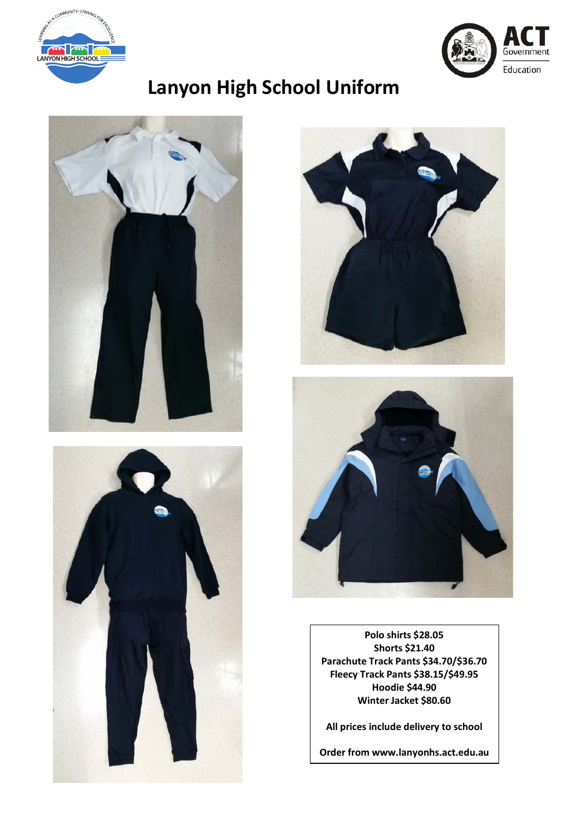



# **Lanyon High School Uniform**









**Polo shirts \$28.05 Shorts \$21.40 Parachute Track Pants \$34.70/\$36.70 Fleecy Track Pants \$38.15/\$49.95 Hoodie \$44.90 Winter Jacket \$80.60**

**All prices include delivery to school**

**Order from www.lanyonhs.act.edu.au**